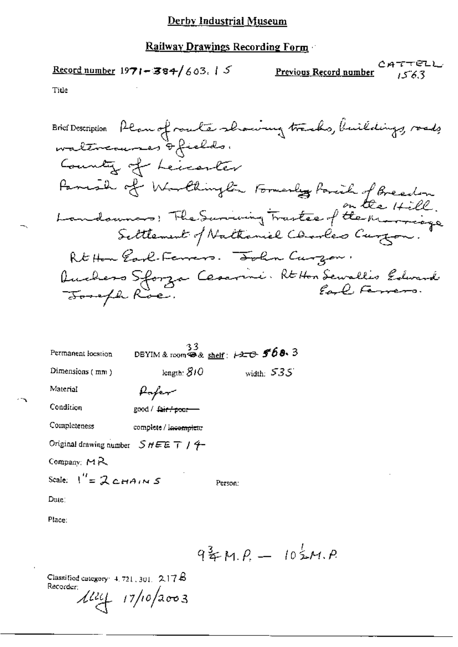### **Railway Drawings Recording Form**

## Record number  $1971 - 384 / 603.15$

CATTELL Previous Record number 1563

Title

۰,

| Permanent location                    | 33                                | DBYIM & room $4x$ shelf: 120 568.3 |  |  |  |
|---------------------------------------|-----------------------------------|------------------------------------|--|--|--|
| Dimensions (mm)                       | length: $810$                     | width: $535'$                      |  |  |  |
| Material                              | Hafer                             |                                    |  |  |  |
| Condition                             | good / <del>fair / poor -</del>   |                                    |  |  |  |
| Completeness                          | complete / in <del>complete</del> |                                    |  |  |  |
| Original drawing number $SHEE T$ / 4- |                                   |                                    |  |  |  |
| Company: $M_{\rm R}$                  |                                   |                                    |  |  |  |
| Scale: $1'' = 2c_{HAIN} s$            |                                   | Person:                            |  |  |  |
| Date:                                 |                                   |                                    |  |  |  |
| Place:                                |                                   |                                    |  |  |  |

 $9\frac{3}{4}M.P. - 10\frac{1}{2}M.P.$ 

Classified category:  $4.721,301, 2.17B$ 

Recorder  $\mu = \frac{17}{102003}$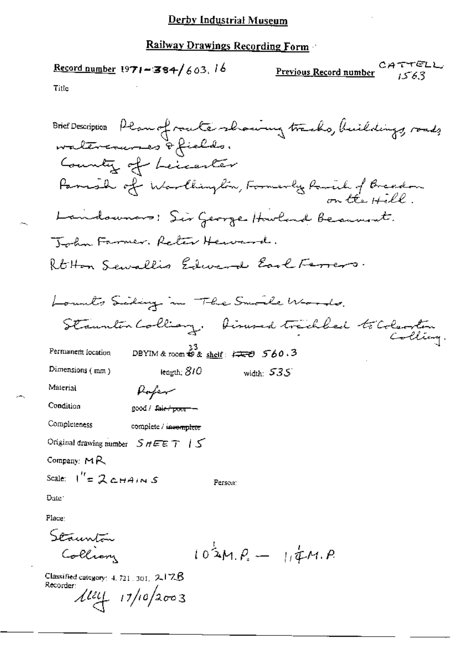$\frac{\text{Record number}}{1971 - 384}$  603, 16

CATTELL Previous Record number 1563

Title

Brief Description Plan of route showing tracks, buildings, roads waltercrunes of fields. County of Leicenter Parish of Warlington, Formerly Remil of Breadow Landounars: Sir George Howland Beaumont. John Farmer. Reter Heward. RtHon Sewallis Edward Earl Ferrers. Lounts Siding in The Small Words. Staunten Colliany, Dinned tracklad to Coleonten Colliery. DBYIM & room  $\stackrel{33}{\leftrightarrow}$  & shelf:  $\stackrel{?}{\leftrightarrow}$  560.3 Permanem location Dimensions (mm) length;  $810$ width:  $535'$ Material Pofer Condition good / fair / poor -Completeness complete / insemplete Original drawing number  $SHEET$  |  $S$ Company:  $MA$ Scale:  $I'' = 2cH + 4$  in S Person: Date: Place: Staunton  $10^{\frac{1}{2}}M.P. = 114A.P.$ Collian

Classified category:  $4.721, 301, 2.17.6$ Recorder:

 $\frac{\mu}{\mu}$  17/10/2003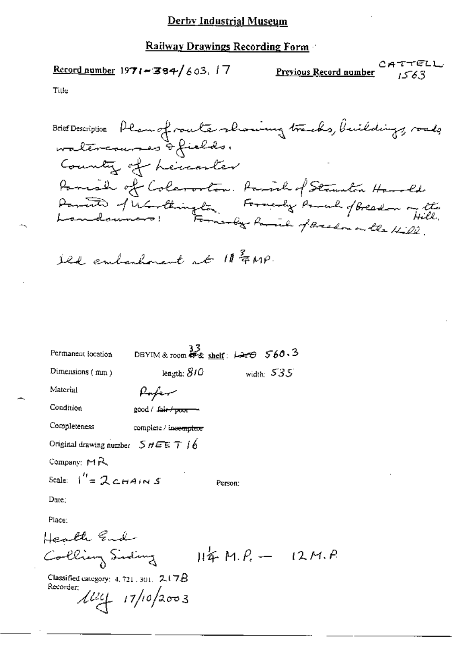### **Railway Drawings Recording Form**

### Record number  $1971 - 384 / 603$ , 17

CATTELL Previous Record number 6.3 ک1

. Р.

Title

Brief Description Plan of route showing tracks, buildings, roads County of Lenarter Parish of Coleration. Farish of Strumton Handle<br>Parish of Unitainsta, Formerly Paral of Breadon of the

Ild embashment at 11 FMP.

| Permanent focation                                         | DBYIM & room $\frac{33}{45}$ shelf: $\overline{120}$ 560.3 |                  |              |  |
|------------------------------------------------------------|------------------------------------------------------------|------------------|--------------|--|
| Dimensions $(mn)$                                          | length; $810$                                              |                  | width: $535$ |  |
| Material                                                   | flafer                                                     |                  |              |  |
| Condition                                                  | good / fair / poor --                                      |                  |              |  |
| Completeness                                               | complete / incomplete                                      |                  |              |  |
| Original drawing number $5$ $n \in \mathbb{Z}$ $\top$ $16$ |                                                            |                  |              |  |
| Company: MR                                                |                                                            |                  |              |  |
| Scale: $1'' = 2$ CHAINS                                    |                                                            | Person:          |              |  |
| Due:                                                       |                                                            |                  |              |  |
| Place:                                                     |                                                            |                  |              |  |
| fealth Ende                                                |                                                            |                  |              |  |
| Colling Siding                                             |                                                            | $H4F$ M.P. - 12M |              |  |
| Classified category: $4, 721, 301, 2.17B$<br>Recorder:     | $1111 + 17/10/2003$                                        |                  |              |  |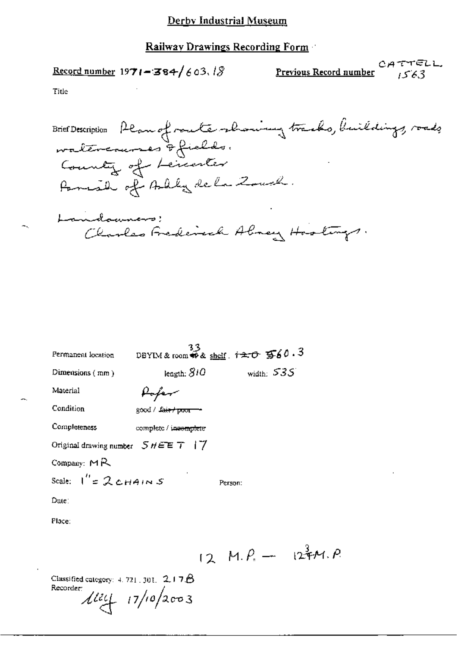Record number 1971-384/603.18

CATTELL Previous Record number  $1563$ 

Title

Brief Description Plan of route showing tracks, buildings, roads Country of Lenester Parish of Bally de la Zouch. Landowners! Charles Frederick Almey Hostings.

 $12 M.P. - 127 M.P.$ 

| Permanent location                               | 33                    | DBYIM & room $\widetilde{\bullet}$ & shelf $\widetilde{\bullet}$ $\widetilde{\bullet}$ $\widetilde{\bullet}$ $\widetilde{\bullet}$ $\widetilde{\bullet}$ $\widetilde{\bullet}$ $\widetilde{\bullet}$ $\widetilde{\bullet}$ $\widetilde{\bullet}$ |  |  |  |
|--------------------------------------------------|-----------------------|--------------------------------------------------------------------------------------------------------------------------------------------------------------------------------------------------------------------------------------------------|--|--|--|
| Dimensions $(mn)$                                | length: $810$         | width: $535$                                                                                                                                                                                                                                     |  |  |  |
| Material                                         | Hoper                 |                                                                                                                                                                                                                                                  |  |  |  |
| Condition                                        | good / fair / poor    |                                                                                                                                                                                                                                                  |  |  |  |
| Completeness                                     | complete / incomplete |                                                                                                                                                                                                                                                  |  |  |  |
| Original drawing number $5$ $\#$ $E E$ $T$   $7$ |                       |                                                                                                                                                                                                                                                  |  |  |  |
| Company: $M_{\rm R}$                             |                       |                                                                                                                                                                                                                                                  |  |  |  |
| Scale: $I'' = 2c$ HAINS                          |                       | Person:                                                                                                                                                                                                                                          |  |  |  |
| Dute∶                                            |                       |                                                                                                                                                                                                                                                  |  |  |  |
| Place:                                           |                       |                                                                                                                                                                                                                                                  |  |  |  |
|                                                  |                       |                                                                                                                                                                                                                                                  |  |  |  |

Classified category:  $4.721,301, 2.17B$ Recorder:  $\frac{1}{4}$   $\frac{17}{10}$  2003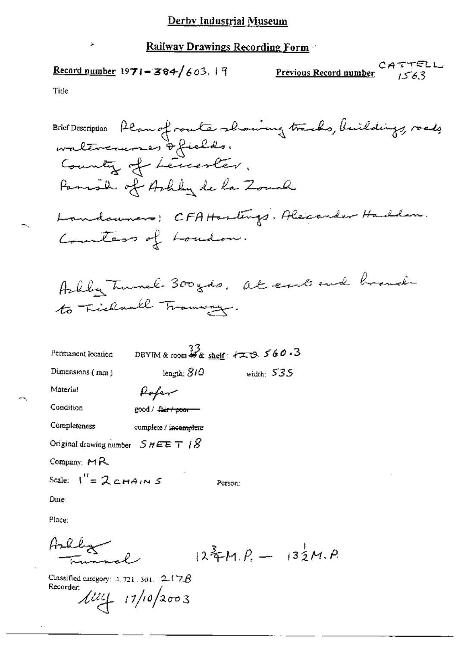# Record number 1971-384/603.19

CATTELL Previous Record number  $1563$ 

Title

 $\lambda$ 

Bric Description, *Plomefroude Abwwing trusko, building, reads*

\nFormality of *Arkl*, *de la Zouvel*

\nAnndownano: *CFAHenting*. *Heizander Handdom*.

\nAnndownano: *CFAHenting*. *Heizander Handdom*.

\nGenulators of *Foundom*.

\nArklly. *Turnne*: *300 gds*. *At enck brach*.

\nFormaant location: *BF st st os soos*.

\nDimension (man) length: *810* width: *535*

\nMaterial: *Poler*

\nConfition: *soos/fitrom*

\nCompleteness: *complete/iscomplete*

\nOriginal drawing number *SHEE T 18*

\nCompar: *MR*

\nScale: 
$$
1''=2
$$
 *c radins S Person*:

\nDue:

\nPlace:  $1''=2$  *c radins S Person*:  
\n

\nPlace:  $1''=2$  *ctans Person*:  
\n

Classified category:  $4.721$ , 301,  $2.178$ 

 $\cdot$ 

Recorder:  $\mu = 17/10/2003$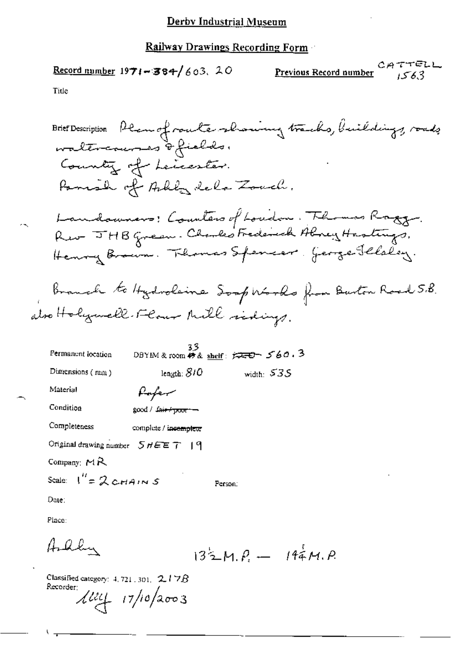## Record number  $1971 - 384 / 603$ , 20

CATTELL Previous Record number 1563

Title

Brief Description Plan of route-showing tracks, buildings, roads<br>waltreaunes & fields. County of Leicester. Panish of Arbey dela Zouch. Landowners: Counters of Loudon. The mas Roggy. Rev JHB green. Clarks Frederick Abrey Hastings.<br>Henry Brown. Thomas Spencer George Fleeley. Branch to Hydroleine Soop Works from Burton Road 5.8. atro Holymell-Flour Mill sidings. 33<br>DBYIM & room # & <u>sheif</u>:  $\overline{p} = 560.3$ Permanent location Dimensions (mm) length:  $810$ width:  $535$ Material Paper Condition good / fair+poor -Completeness complete / incemplete Original drawing number  $5$   $HEE$   $T$  | 9 Company:  $M \lambda$ Scale:  $I'' = 2cHAINS$ Ferson: Date: Place: Ardhu  $132M.P. - 144M.P.$ 

Classified category:  $4, 721, 301, 2.17B$ Recorder:

 $\frac{1}{2}$   $\frac{1}{4}$   $\frac{1}{2}$   $\frac{1}{2}$   $\frac{1}{2}$   $\frac{1}{2}$   $\frac{1}{2}$   $\frac{1}{2}$   $\frac{1}{2}$   $\frac{1}{2}$   $\frac{1}{2}$   $\frac{1}{2}$   $\frac{1}{2}$   $\frac{1}{2}$   $\frac{1}{2}$   $\frac{1}{2}$   $\frac{1}{2}$   $\frac{1}{2}$   $\frac{1}{2}$   $\frac{1}{2}$   $\frac{1}{2}$   $\frac{1}{2}$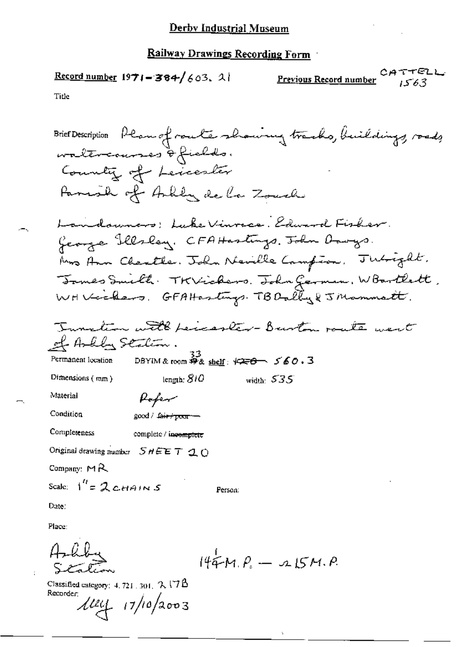Record number  $1971 - 384 / 603$ . 2 سلامته CА Previous Record number 1563 Title

Place:

 $\ddot{i}$ 

٠.

Ş Ă, ົດ مذبر

 $144M.P. - 215M.P.$ 

Classified category:  $4.721$  ,  $301$ ,  $2.17B$ 

Recorder.<br> $11/10/2003$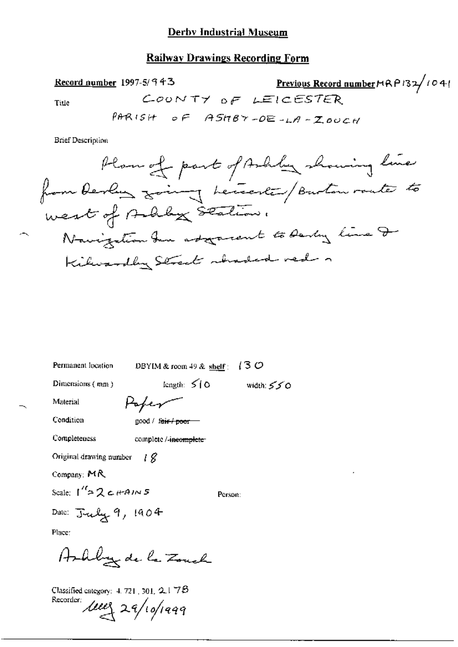### Railway Drawings Recording Form

Previous Record number HRP132/1041 Record number 1997-5/943 COUNTY OF LEICESTER Title PARISH OF ASHBY-DE-LA-ZOUCH

**Brief Description** 

DBYIM & room 49 & shelf:  $(3 O$ Permanent location

Dimensions (mm)

length:  $510$  width:  $550$ 

Material Condition

good / fair / poor

Poper

**Completeness** 

complete /-incomplete

Original drawing number  $\{g\}$ 

Company: MR

Scale:  $1^{\prime\prime}$  2 c HAINS

Person:

Date:  $\text{J-}\text{uly}$  9, 1904

Place:

Ashly de la Zonch

Classified category: 4, 721, 301,  $2.1$   $7\beta$ Recorder luces 29/10/1999